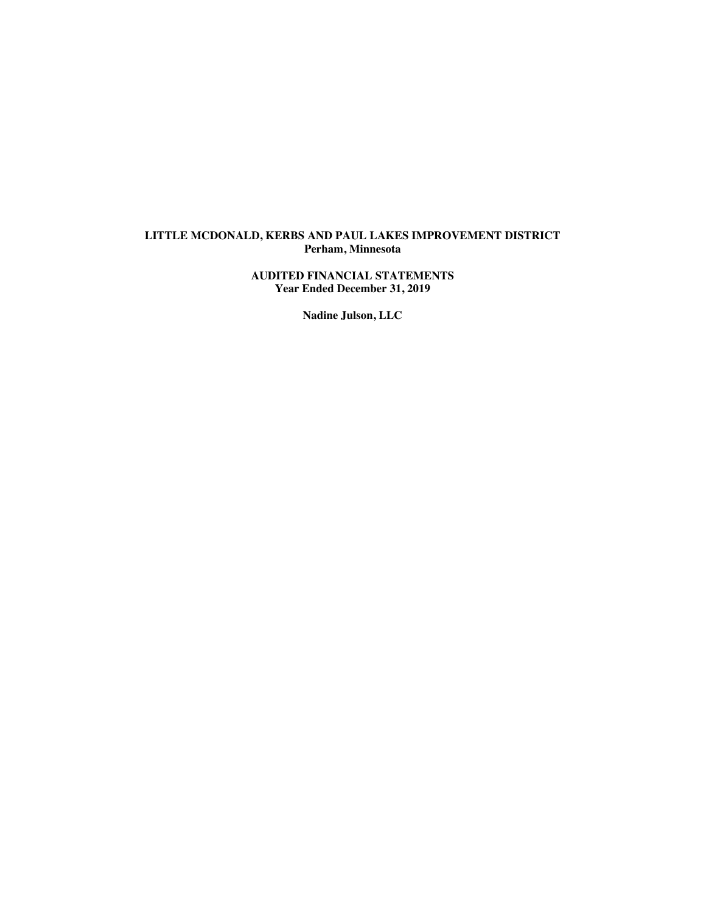### **AUDITED FINANCIAL STATEMENTS Year Ended December 31, 2019**

**Nadine Julson, LLC**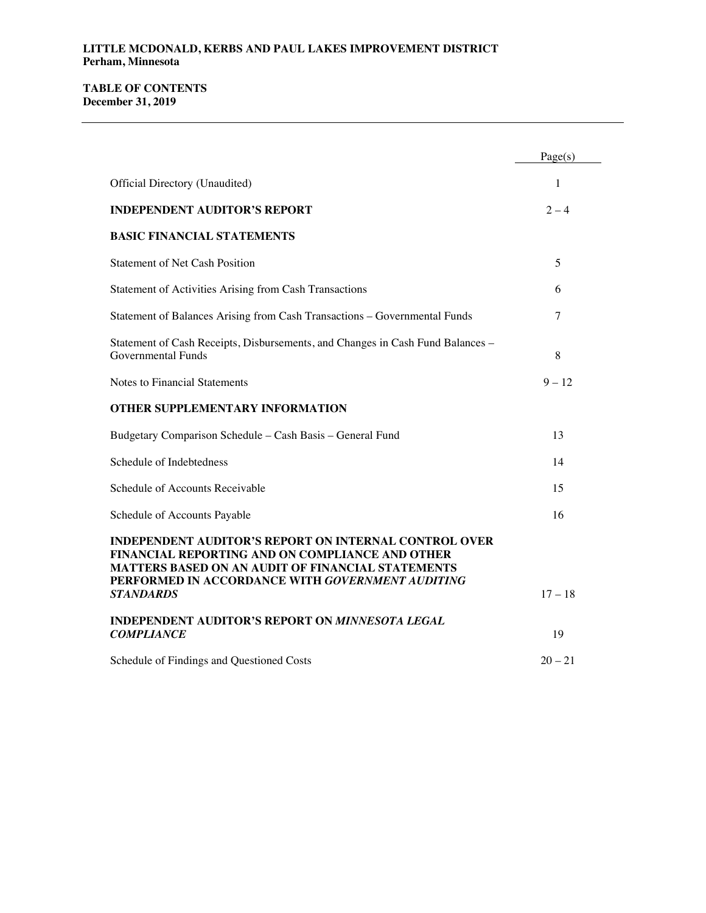### **TABLE OF CONTENTS December 31, 2019**

|                                                                                                                                                                                                                                                            | Page(s)   |
|------------------------------------------------------------------------------------------------------------------------------------------------------------------------------------------------------------------------------------------------------------|-----------|
| Official Directory (Unaudited)                                                                                                                                                                                                                             | 1         |
| <b>INDEPENDENT AUDITOR'S REPORT</b>                                                                                                                                                                                                                        | $2 - 4$   |
| <b>BASIC FINANCIAL STATEMENTS</b>                                                                                                                                                                                                                          |           |
| <b>Statement of Net Cash Position</b>                                                                                                                                                                                                                      | 5         |
| Statement of Activities Arising from Cash Transactions                                                                                                                                                                                                     | 6         |
| Statement of Balances Arising from Cash Transactions - Governmental Funds                                                                                                                                                                                  | 7         |
| Statement of Cash Receipts, Disbursements, and Changes in Cash Fund Balances -<br><b>Governmental Funds</b>                                                                                                                                                | 8         |
| Notes to Financial Statements                                                                                                                                                                                                                              | $9 - 12$  |
| OTHER SUPPLEMENTARY INFORMATION                                                                                                                                                                                                                            |           |
| Budgetary Comparison Schedule - Cash Basis - General Fund                                                                                                                                                                                                  | 13        |
| Schedule of Indebtedness                                                                                                                                                                                                                                   | 14        |
| Schedule of Accounts Receivable                                                                                                                                                                                                                            | 15        |
| Schedule of Accounts Payable                                                                                                                                                                                                                               | 16        |
| <b>INDEPENDENT AUDITOR'S REPORT ON INTERNAL CONTROL OVER</b><br><b>FINANCIAL REPORTING AND ON COMPLIANCE AND OTHER</b><br><b>MATTERS BASED ON AN AUDIT OF FINANCIAL STATEMENTS</b><br>PERFORMED IN ACCORDANCE WITH GOVERNMENT AUDITING<br><b>STANDARDS</b> | $17 - 18$ |
| <b>INDEPENDENT AUDITOR'S REPORT ON MINNESOTA LEGAL</b><br><b>COMPLIANCE</b>                                                                                                                                                                                | 19        |
| Schedule of Findings and Questioned Costs                                                                                                                                                                                                                  | $20 - 21$ |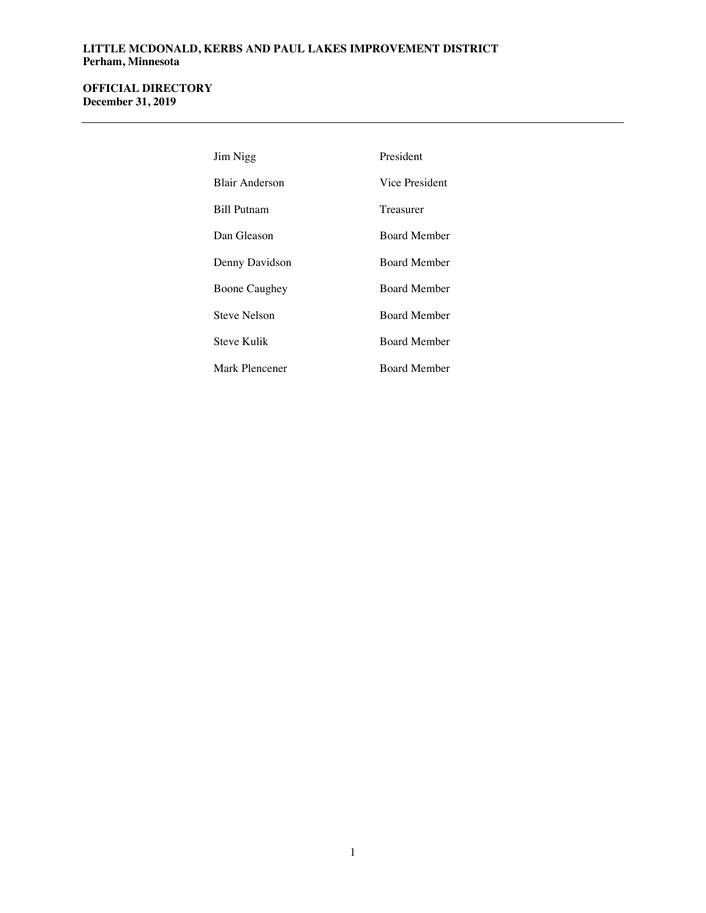### **OFFICIAL DIRECTORY December 31, 2019**

| Jim Nigg            | President           |
|---------------------|---------------------|
| Blair Anderson      | Vice President      |
| Bill Putnam         | Treasurer           |
| Dan Gleason         | <b>Board Member</b> |
| Denny Davidson      | <b>Board Member</b> |
| Boone Caughey       | <b>Board Member</b> |
| <b>Steve Nelson</b> | <b>Board Member</b> |
| Steve Kulik         | <b>Board Member</b> |
| Mark Plencener      | <b>Board Member</b> |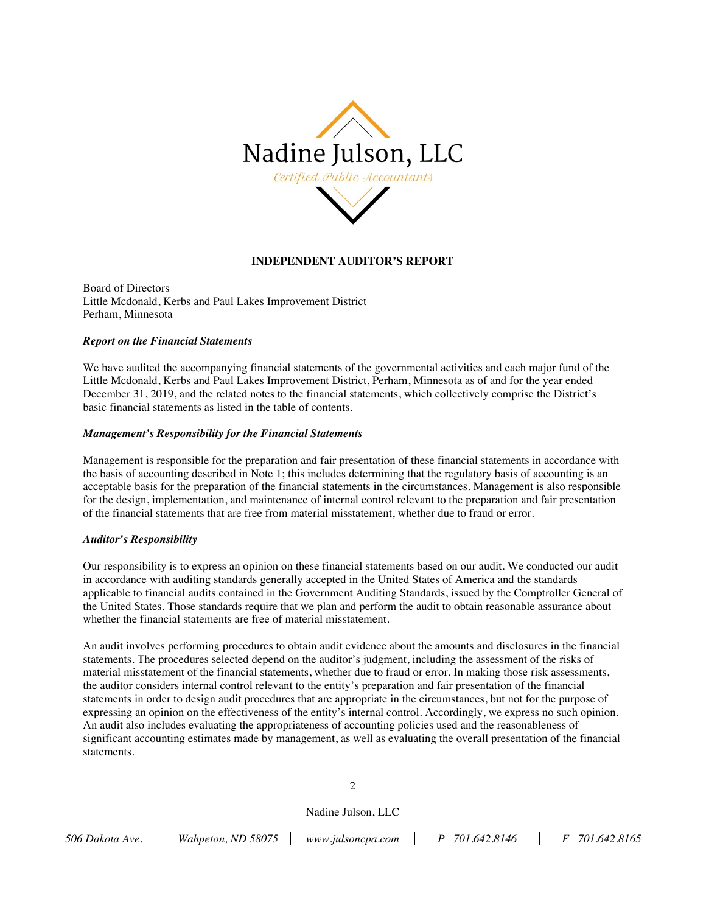

### **INDEPENDENT AUDITOR'S REPORT**

Board of Directors Little Mcdonald, Kerbs and Paul Lakes Improvement District Perham, Minnesota

### *Report on the Financial Statements*

We have audited the accompanying financial statements of the governmental activities and each major fund of the Little Mcdonald, Kerbs and Paul Lakes Improvement District, Perham, Minnesota as of and for the year ended December 31, 2019, and the related notes to the financial statements, which collectively comprise the District's basic financial statements as listed in the table of contents.

### *Management's Responsibility for the Financial Statements*

Management is responsible for the preparation and fair presentation of these financial statements in accordance with the basis of accounting described in Note 1; this includes determining that the regulatory basis of accounting is an acceptable basis for the preparation of the financial statements in the circumstances. Management is also responsible for the design, implementation, and maintenance of internal control relevant to the preparation and fair presentation of the financial statements that are free from material misstatement, whether due to fraud or error.

### *Auditor's Responsibility*

Our responsibility is to express an opinion on these financial statements based on our audit. We conducted our audit in accordance with auditing standards generally accepted in the United States of America and the standards applicable to financial audits contained in the Government Auditing Standards, issued by the Comptroller General of the United States. Those standards require that we plan and perform the audit to obtain reasonable assurance about whether the financial statements are free of material misstatement.

An audit involves performing procedures to obtain audit evidence about the amounts and disclosures in the financial statements. The procedures selected depend on the auditor's judgment, including the assessment of the risks of material misstatement of the financial statements, whether due to fraud or error. In making those risk assessments, the auditor considers internal control relevant to the entity's preparation and fair presentation of the financial statements in order to design audit procedures that are appropriate in the circumstances, but not for the purpose of expressing an opinion on the effectiveness of the entity's internal control. Accordingly, we express no such opinion. An audit also includes evaluating the appropriateness of accounting policies used and the reasonableness of significant accounting estimates made by management, as well as evaluating the overall presentation of the financial statements.

### Nadine Julson, LLC

*506 Dakota Ave. Wahpeton, ND 58075 www.julsoncpa.com P 701.642.8146 F 701.642.8165*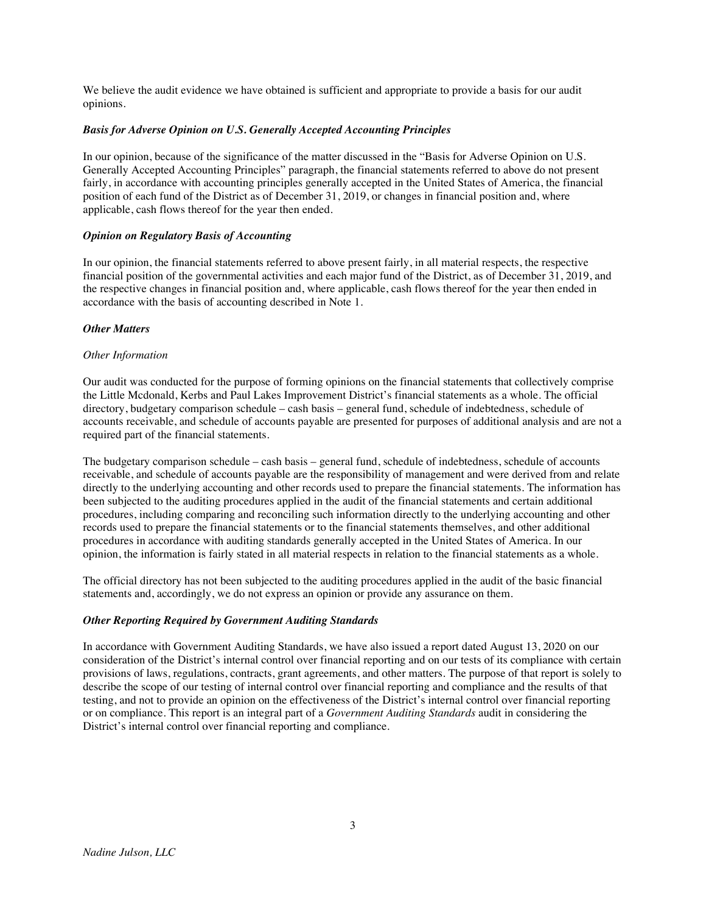We believe the audit evidence we have obtained is sufficient and appropriate to provide a basis for our audit opinions.

### *Basis for Adverse Opinion on U.S. Generally Accepted Accounting Principles*

In our opinion, because of the significance of the matter discussed in the "Basis for Adverse Opinion on U.S. Generally Accepted Accounting Principles" paragraph, the financial statements referred to above do not present fairly, in accordance with accounting principles generally accepted in the United States of America, the financial position of each fund of the District as of December 31, 2019, or changes in financial position and, where applicable, cash flows thereof for the year then ended.

### *Opinion on Regulatory Basis of Accounting*

In our opinion, the financial statements referred to above present fairly, in all material respects, the respective financial position of the governmental activities and each major fund of the District, as of December 31, 2019, and the respective changes in financial position and, where applicable, cash flows thereof for the year then ended in accordance with the basis of accounting described in Note 1.

### *Other Matters*

### *Other Information*

Our audit was conducted for the purpose of forming opinions on the financial statements that collectively comprise the Little Mcdonald, Kerbs and Paul Lakes Improvement District's financial statements as a whole. The official directory, budgetary comparison schedule – cash basis – general fund, schedule of indebtedness, schedule of accounts receivable, and schedule of accounts payable are presented for purposes of additional analysis and are not a required part of the financial statements.

The budgetary comparison schedule – cash basis – general fund, schedule of indebtedness, schedule of accounts receivable, and schedule of accounts payable are the responsibility of management and were derived from and relate directly to the underlying accounting and other records used to prepare the financial statements. The information has been subjected to the auditing procedures applied in the audit of the financial statements and certain additional procedures, including comparing and reconciling such information directly to the underlying accounting and other records used to prepare the financial statements or to the financial statements themselves, and other additional procedures in accordance with auditing standards generally accepted in the United States of America. In our opinion, the information is fairly stated in all material respects in relation to the financial statements as a whole.

The official directory has not been subjected to the auditing procedures applied in the audit of the basic financial statements and, accordingly, we do not express an opinion or provide any assurance on them.

### *Other Reporting Required by Government Auditing Standards*

In accordance with Government Auditing Standards, we have also issued a report dated August 13, 2020 on our consideration of the District's internal control over financial reporting and on our tests of its compliance with certain provisions of laws, regulations, contracts, grant agreements, and other matters. The purpose of that report is solely to describe the scope of our testing of internal control over financial reporting and compliance and the results of that testing, and not to provide an opinion on the effectiveness of the District's internal control over financial reporting or on compliance. This report is an integral part of a *Government Auditing Standards* audit in considering the District's internal control over financial reporting and compliance.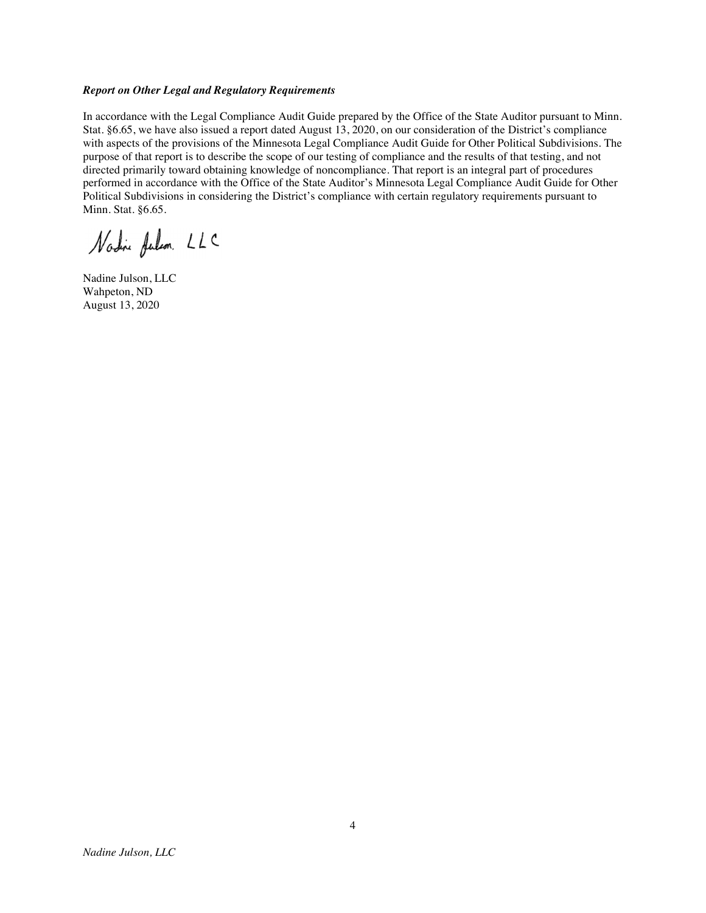### *Report on Other Legal and Regulatory Requirements*

In accordance with the Legal Compliance Audit Guide prepared by the Office of the State Auditor pursuant to Minn. Stat. §6.65, we have also issued a report dated August 13, 2020, on our consideration of the District's compliance with aspects of the provisions of the Minnesota Legal Compliance Audit Guide for Other Political Subdivisions. The purpose of that report is to describe the scope of our testing of compliance and the results of that testing, and not directed primarily toward obtaining knowledge of noncompliance. That report is an integral part of procedures performed in accordance with the Office of the State Auditor's Minnesota Legal Compliance Audit Guide for Other Political Subdivisions in considering the District's compliance with certain regulatory requirements pursuant to Minn. Stat. §6.65.

Native Julian LLC

Nadine Julson, LLC Wahpeton, ND August 13, 2020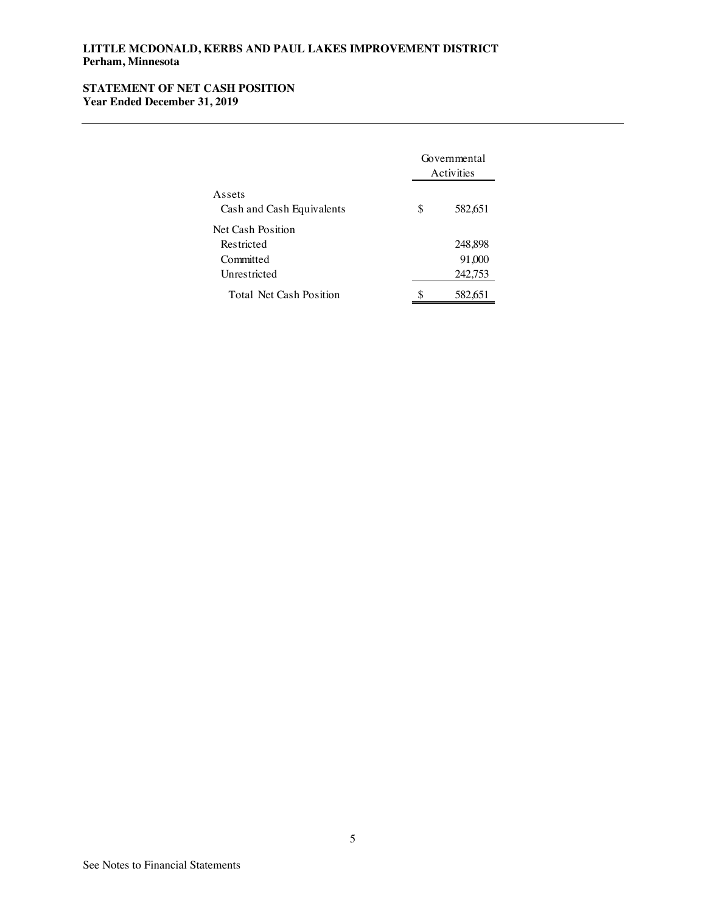### **STATEMENT OF NET CASH POSITION Year Ended December 31, 2019**

|                           |   | Governmental<br>Activities |
|---------------------------|---|----------------------------|
| Assets                    |   |                            |
| Cash and Cash Equivalents | S | 582,651                    |
| Net Cash Position         |   |                            |
| Restricted                |   | 248,898                    |
| Committed                 |   | 91,000                     |
| <b>Unrestricted</b>       |   | 242,753                    |
| Total Net Cash Position   |   | 582,651                    |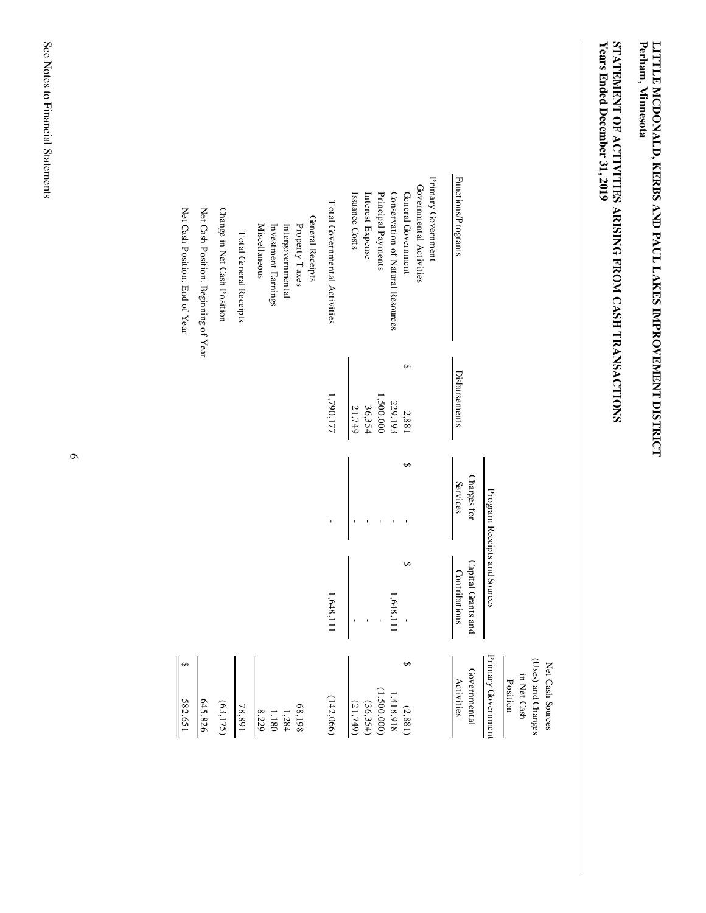# LITTLE MCDONALD, KERBS AND PAUL LAKES IMPROVEMENT DISTRICT<br>Perham, Minnesota **LITTLE MCDONALD, KERBS AND PAUL LAKES IMPROVEMENT DISTRICT , Minnesota**

### **STATEMENT OF ACTIVITIES ARISING FROM CASH TRANSACTIONS**<br>Years Ended December 31, 2019 **STATEMENT OF ACTIVITIES ARISING FROM CASH TRANSACTIONS Ended December 31, 2019**

| ↮<br>582,651                                           |                              |             |                      | Net Cash Position, End of Year<br>Net Cash Position, Beginning of Year |
|--------------------------------------------------------|------------------------------|-------------|----------------------|------------------------------------------------------------------------|
| 645,826                                                |                              |             |                      |                                                                        |
| (63,175)                                               |                              |             |                      | Change in Net Cash Position                                            |
| 78,891                                                 |                              |             |                      | Total General Receipts                                                 |
|                                                        |                              |             |                      | Miscellaneous                                                          |
| $\begin{array}{c} 1.284 \\ 1.180 \\ 8.229 \end{array}$ |                              |             |                      | Investment Earnings                                                    |
|                                                        |                              |             |                      | Intergovernmental                                                      |
| 68,198                                                 |                              |             |                      | General Receipts<br>Property Taxes                                     |
| (142,066)                                              | 1,648,11                     |             | 1,790,177            | Total Governmental Activities                                          |
| (21,749)                                               |                              |             | 21,749               | Issuance Costs                                                         |
| (36,354)                                               |                              |             | 36,354               | Interest Expense                                                       |
| (1,500,000)                                            |                              |             | 229,193<br>1,500,000 | Principal Payments                                                     |
| 1,418,918                                              | ,648,11                      |             |                      | Conservation of Natural Resources                                      |
| ↮<br>(2, 881)                                          | ↔                            | ↔           | ِص<br>2,881          | General Government                                                     |
|                                                        |                              |             |                      | Governmental Activities                                                |
|                                                        |                              |             |                      | Primary Government                                                     |
| Activities                                             | Contributions                | Services    | Disbursements        | Functions/Programs                                                     |
| Governmental                                           | Capital Grants and           | Charges for |                      |                                                                        |
| Primary Government                                     | Program Receipts and Sources |             |                      |                                                                        |
| (Uses) and Changes<br>in Net Cash<br>Position          |                              |             |                      |                                                                        |
| Net Cash Sources                                       |                              |             |                      |                                                                        |
|                                                        |                              |             |                      |                                                                        |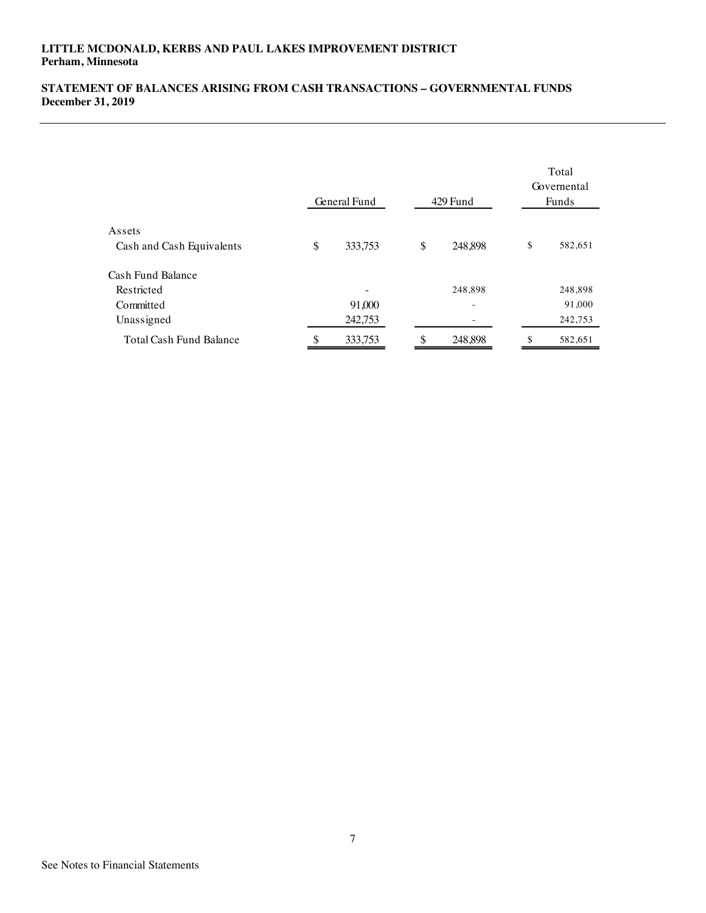### **STATEMENT OF BALANCES ARISING FROM CASH TRANSACTIONS – GOVERNMENTAL FUNDS December 31, 2019**

|                                |     | General Fund | 429 Fund      | Total<br>Governental<br>Funds |
|--------------------------------|-----|--------------|---------------|-------------------------------|
| Assets                         |     |              |               |                               |
| Cash and Cash Equivalents      | \$  | 333,753      | \$<br>248,898 | \$<br>582,651                 |
| Cash Fund Balance              |     |              |               |                               |
| Restricted                     |     |              | 248,898       | 248,898                       |
| Committed                      |     | 91,000       |               | 91,000                        |
| Unassigned                     |     | 242,753      |               | 242,753                       |
| <b>Total Cash Fund Balance</b> | \$. | 333,753      | 248,898       | \$<br>582,651                 |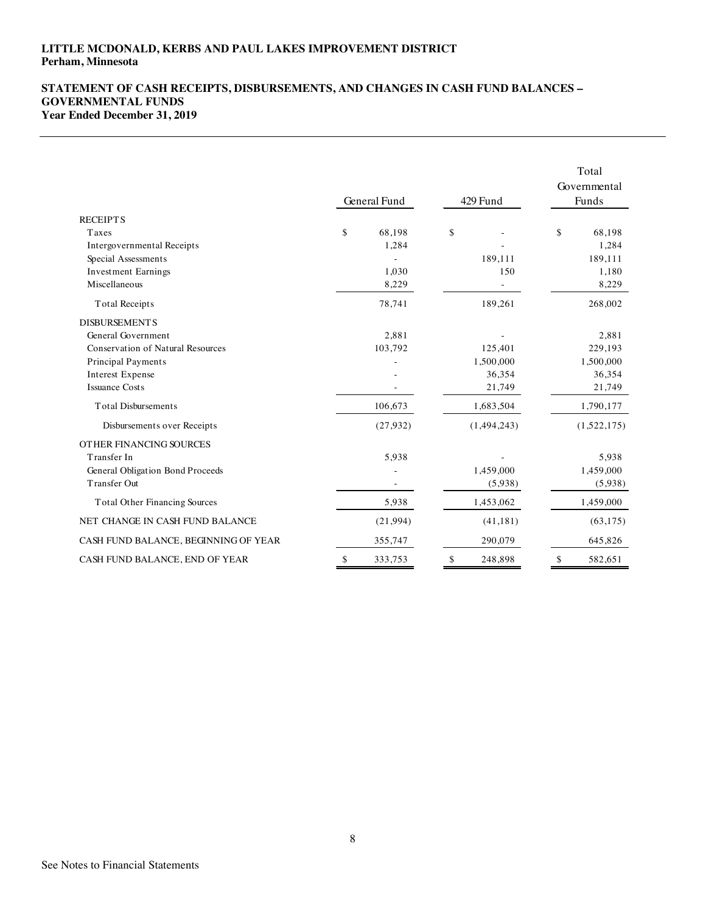### **STATEMENT OF CASH RECEIPTS, DISBURSEMENTS, AND CHANGES IN CASH FUND BALANCES – GOVERNMENTAL FUNDS Year Ended December 31, 2019**

|                                          |               |               | Total         |
|------------------------------------------|---------------|---------------|---------------|
|                                          |               |               | Governmental  |
|                                          | General Fund  | 429 Fund      | Funds         |
| <b>RECEIPTS</b>                          |               |               |               |
| Taxes                                    | \$<br>68,198  | \$            | \$<br>68,198  |
| <b>Intergovernmental Receipts</b>        | 1,284         |               | 1,284         |
| Special Assessments                      |               | 189,111       | 189,111       |
| <b>Investment Earnings</b>               | 1,030         | 150           | 1,180         |
| Miscellaneous                            | 8,229         |               | 8,229         |
| <b>Total Receipts</b>                    | 78,741        | 189,261       | 268,002       |
| <b>DISBURSEMENTS</b>                     |               |               |               |
| General Government                       | 2,881         |               | 2,881         |
| <b>Conservation of Natural Resources</b> | 103,792       | 125.401       | 229,193       |
| Principal Payments                       |               | 1,500,000     | 1,500,000     |
| Interest Expense                         |               | 36,354        | 36,354        |
| <b>Issuance Costs</b>                    |               | 21,749        | 21,749        |
| <b>Total Disbursements</b>               | 106.673       | 1,683,504     | 1,790,177     |
| Disbursements over Receipts              | (27, 932)     | (1,494,243)   | (1,522,175)   |
| OT HER FINANCING SOURCES                 |               |               |               |
| Transfer In                              | 5,938         |               | 5,938         |
| General Obligation Bond Proceeds         |               | 1,459,000     | 1,459,000     |
| Transfer Out                             |               | (5,938)       | (5,938)       |
| Total Other Financing Sources            | 5,938         | 1,453,062     | 1,459,000     |
| NET CHANGE IN CASH FUND BALANCE          | (21, 994)     | (41, 181)     | (63, 175)     |
| CASH FUND BALANCE, BEGINNING OF YEAR     | 355,747       | 290,079       | 645,826       |
| CASH FUND BALANCE, END OF YEAR           | \$<br>333,753 | \$<br>248,898 | \$<br>582,651 |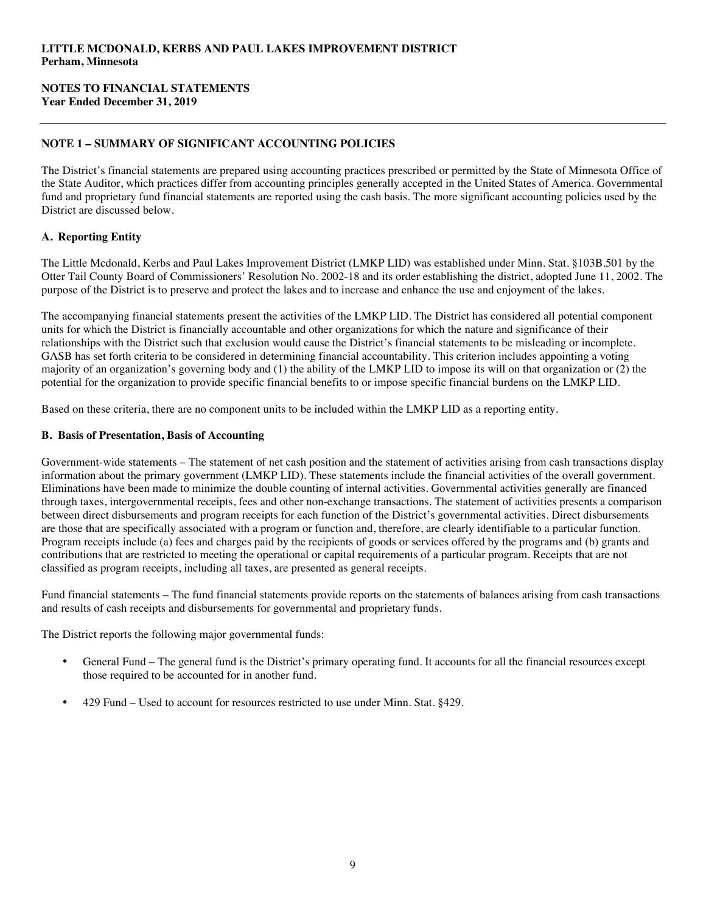### **NOTES TO FINANCIAL STATEMENTS Year Ended December 31, 2019**

### **NOTE 1 – SUMMARY OF SIGNIFICANT ACCOUNTING POLICIES**

The District's financial statements are prepared using accounting practices prescribed or permitted by the State of Minnesota Office of the State Auditor, which practices differ from accounting principles generally accepted in the United States of America. Governmental fund and proprietary fund financial statements are reported using the cash basis. The more significant accounting policies used by the District are discussed below.

### **A. Reporting Entity**

The Little Mcdonald, Kerbs and Paul Lakes Improvement District (LMKP LID) was established under Minn. Stat. §103B.501 by the Otter Tail County Board of Commissioners' Resolution No. 2002-18 and its order establishing the district, adopted June 11, 2002. The purpose of the District is to preserve and protect the lakes and to increase and enhance the use and enjoyment of the lakes.

The accompanying financial statements present the activities of the LMKP LID. The District has considered all potential component units for which the District is financially accountable and other organizations for which the nature and significance of their relationships with the District such that exclusion would cause the District's financial statements to be misleading or incomplete. GASB has set forth criteria to be considered in determining financial accountability. This criterion includes appointing a voting majority of an organization's governing body and (1) the ability of the LMKP LID to impose its will on that organization or (2) the potential for the organization to provide specific financial benefits to or impose specific financial burdens on the LMKP LID.

Based on these criteria, there are no component units to be included within the LMKP LID as a reporting entity.

### **B. Basis of Presentation, Basis of Accounting**

Government-wide statements – The statement of net cash position and the statement of activities arising from cash transactions display information about the primary government (LMKP LID). These statements include the financial activities of the overall government. Eliminations have been made to minimize the double counting of internal activities. Governmental activities generally are financed through taxes, intergovernmental receipts, fees and other non-exchange transactions. The statement of activities presents a comparison between direct disbursements and program receipts for each function of the District's governmental activities. Direct disbursements are those that are specifically associated with a program or function and, therefore, are clearly identifiable to a particular function. Program receipts include (a) fees and charges paid by the recipients of goods or services offered by the programs and (b) grants and contributions that are restricted to meeting the operational or capital requirements of a particular program. Receipts that are not classified as program receipts, including all taxes, are presented as general receipts.

Fund financial statements – The fund financial statements provide reports on the statements of balances arising from cash transactions and results of cash receipts and disbursements for governmental and proprietary funds.

The District reports the following major governmental funds:

- General Fund The general fund is the District's primary operating fund. It accounts for all the financial resources except those required to be accounted for in another fund.
- 429 Fund Used to account for resources restricted to use under Minn. Stat. §429.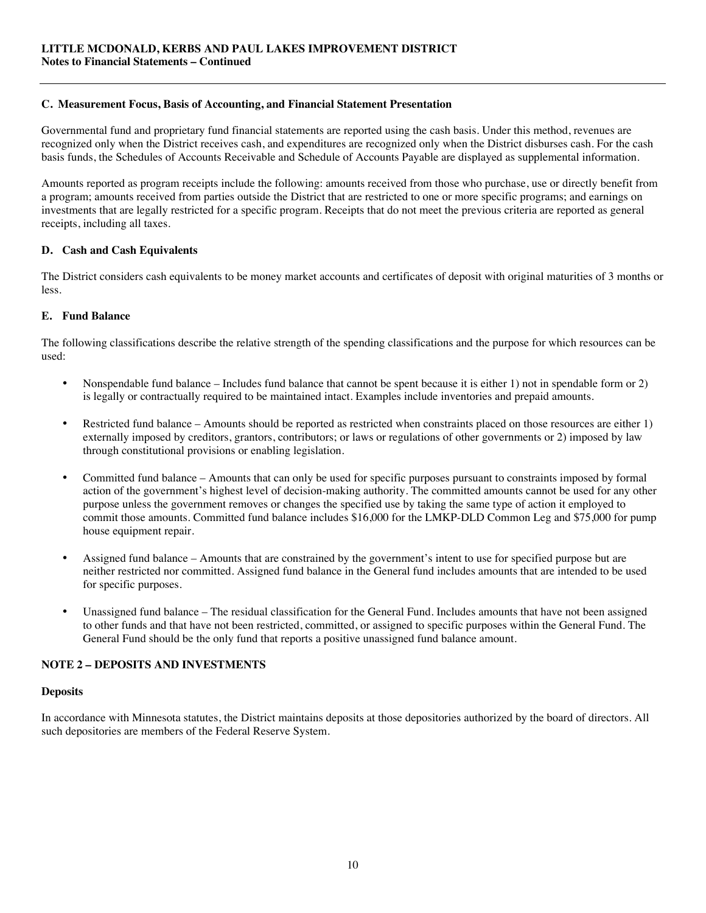### **C. Measurement Focus, Basis of Accounting, and Financial Statement Presentation**

Governmental fund and proprietary fund financial statements are reported using the cash basis. Under this method, revenues are recognized only when the District receives cash, and expenditures are recognized only when the District disburses cash. For the cash basis funds, the Schedules of Accounts Receivable and Schedule of Accounts Payable are displayed as supplemental information.

Amounts reported as program receipts include the following: amounts received from those who purchase, use or directly benefit from a program; amounts received from parties outside the District that are restricted to one or more specific programs; and earnings on investments that are legally restricted for a specific program. Receipts that do not meet the previous criteria are reported as general receipts, including all taxes.

### **D. Cash and Cash Equivalents**

The District considers cash equivalents to be money market accounts and certificates of deposit with original maturities of 3 months or less.

### **E. Fund Balance**

The following classifications describe the relative strength of the spending classifications and the purpose for which resources can be used:

- Nonspendable fund balance Includes fund balance that cannot be spent because it is either 1) not in spendable form or 2) is legally or contractually required to be maintained intact. Examples include inventories and prepaid amounts.
- Restricted fund balance Amounts should be reported as restricted when constraints placed on those resources are either 1) externally imposed by creditors, grantors, contributors; or laws or regulations of other governments or 2) imposed by law through constitutional provisions or enabling legislation.
- Committed fund balance Amounts that can only be used for specific purposes pursuant to constraints imposed by formal action of the government's highest level of decision-making authority. The committed amounts cannot be used for any other purpose unless the government removes or changes the specified use by taking the same type of action it employed to commit those amounts. Committed fund balance includes \$16,000 for the LMKP-DLD Common Leg and \$75,000 for pump house equipment repair.
- Assigned fund balance Amounts that are constrained by the government's intent to use for specified purpose but are neither restricted nor committed. Assigned fund balance in the General fund includes amounts that are intended to be used for specific purposes.
- Unassigned fund balance The residual classification for the General Fund. Includes amounts that have not been assigned to other funds and that have not been restricted, committed, or assigned to specific purposes within the General Fund. The General Fund should be the only fund that reports a positive unassigned fund balance amount.

### **NOTE 2 – DEPOSITS AND INVESTMENTS**

### **Deposits**

In accordance with Minnesota statutes, the District maintains deposits at those depositories authorized by the board of directors. All such depositories are members of the Federal Reserve System.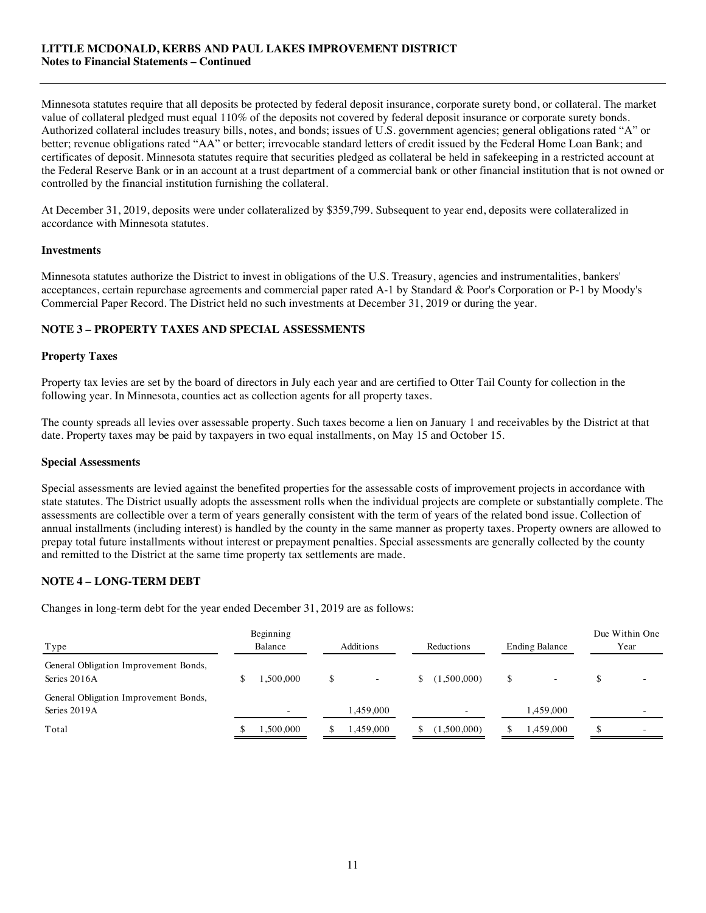### **LITTLE MCDONALD, KERBS AND PAUL LAKES IMPROVEMENT DISTRICT Notes to Financial Statements – Continued**

Minnesota statutes require that all deposits be protected by federal deposit insurance, corporate surety bond, or collateral. The market value of collateral pledged must equal 110% of the deposits not covered by federal deposit insurance or corporate surety bonds. Authorized collateral includes treasury bills, notes, and bonds; issues of U.S. government agencies; general obligations rated "A" or better; revenue obligations rated "AA" or better; irrevocable standard letters of credit issued by the Federal Home Loan Bank; and certificates of deposit. Minnesota statutes require that securities pledged as collateral be held in safekeeping in a restricted account at the Federal Reserve Bank or in an account at a trust department of a commercial bank or other financial institution that is not owned or controlled by the financial institution furnishing the collateral.

At December 31, 2019, deposits were under collateralized by \$359,799. Subsequent to year end, deposits were collateralized in accordance with Minnesota statutes.

### **Investments**

Minnesota statutes authorize the District to invest in obligations of the U.S. Treasury, agencies and instrumentalities, bankers' acceptances, certain repurchase agreements and commercial paper rated A-1 by Standard & Poor's Corporation or P-1 by Moody's Commercial Paper Record. The District held no such investments at December 31, 2019 or during the year.

### **NOTE 3 – PROPERTY TAXES AND SPECIAL ASSESSMENTS**

### **Property Taxes**

Property tax levies are set by the board of directors in July each year and are certified to Otter Tail County for collection in the following year. In Minnesota, counties act as collection agents for all property taxes.

The county spreads all levies over assessable property. Such taxes become a lien on January 1 and receivables by the District at that date. Property taxes may be paid by taxpayers in two equal installments, on May 15 and October 15.

### **Special Assessments**

Special assessments are levied against the benefited properties for the assessable costs of improvement projects in accordance with state statutes. The District usually adopts the assessment rolls when the individual projects are complete or substantially complete. The assessments are collectible over a term of years generally consistent with the term of years of the related bond issue. Collection of annual installments (including interest) is handled by the county in the same manner as property taxes. Property owners are allowed to prepay total future installments without interest or prepayment penalties. Special assessments are generally collected by the county and remitted to the District at the same time property tax settlements are made.

### **NOTE 4 – LONG-TERM DEBT**

Changes in long-term debt for the year ended December 31, 2019 are as follows:

| <b>Type</b>                                           | Beginning<br>Balance | Additions                | Reductions  | Ending Balance                | Due Within One<br>Year   |
|-------------------------------------------------------|----------------------|--------------------------|-------------|-------------------------------|--------------------------|
| General Obligation Improvement Bonds,<br>Series 2016A | .500.000             | $\overline{\phantom{a}}$ | (1.500.000) | S<br>$\overline{\phantom{a}}$ | $\overline{\phantom{a}}$ |
| General Obligation Improvement Bonds,<br>Series 2019A | -                    | 1.459.000                |             | 1,459,000                     | $\overline{\phantom{0}}$ |
| Total                                                 | 1.500.000            | 1.459.000                | (1.500.000) | 1.459.000                     | $\overline{\phantom{0}}$ |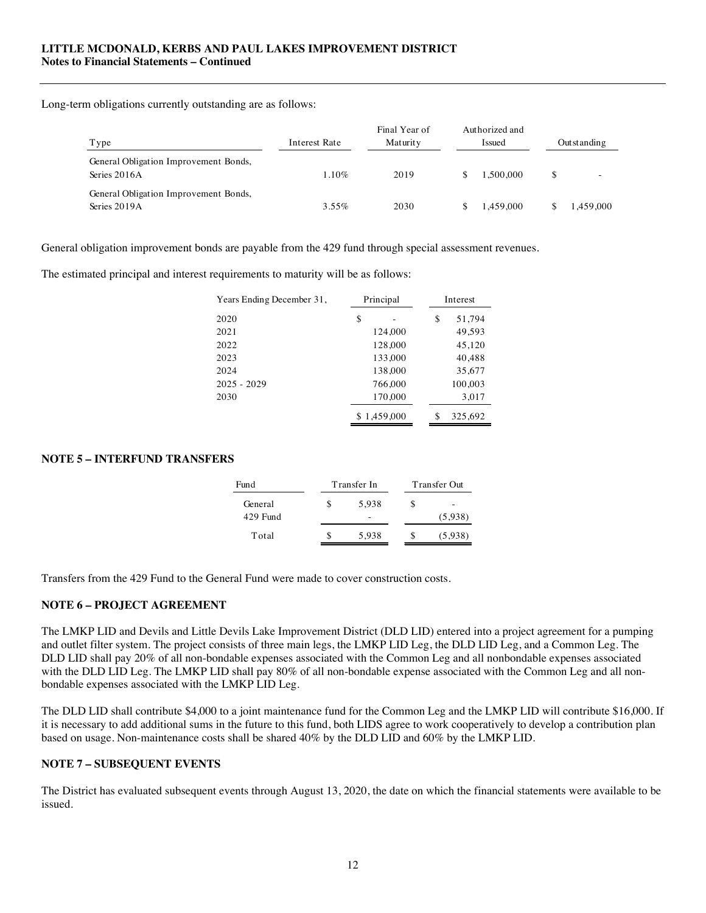Long-term obligations currently outstanding are as follows:

| Type                                                  | Interest Rate | Final Year of<br>Maturity | Authorized and<br>Issued |   | Outstanding |
|-------------------------------------------------------|---------------|---------------------------|--------------------------|---|-------------|
| General Obligation Improvement Bonds,<br>Series 2016A | $1.10\%$      | 2019                      | 1.500.000                | S | $\equiv$    |
| General Obligation Improvement Bonds,<br>Series 2019A | $3.55\%$      | 2030                      | 1.459.000                |   | 1.459.000   |

General obligation improvement bonds are payable from the 429 fund through special assessment revenues.

The estimated principal and interest requirements to maturity will be as follows:

| Years Ending December 31, | Principal   | Interest      |
|---------------------------|-------------|---------------|
| 2020                      | \$          | \$<br>51,794  |
| 2021                      | 124,000     | 49,593        |
| 2022                      | 128,000     | 45,120        |
| 2023                      | 133,000     | 40,488        |
| 2024                      | 138,000     | 35,677        |
| 2025 - 2029               | 766,000     | 100,003       |
| 2030                      | 170,000     | 3,017         |
|                           | \$1,459,000 | \$<br>325,692 |

### **NOTE 5 – INTERFUND TRANSFERS**

| Fund     | Transfer In | Transfer Out |
|----------|-------------|--------------|
| General  | 5.938       | -            |
| 429 Fund |             | (5,938)      |
| Total    | 5,938       | (5,938)      |

Transfers from the 429 Fund to the General Fund were made to cover construction costs.

### **NOTE 6 – PROJECT AGREEMENT**

The LMKP LID and Devils and Little Devils Lake Improvement District (DLD LID) entered into a project agreement for a pumping and outlet filter system. The project consists of three main legs, the LMKP LID Leg, the DLD LID Leg, and a Common Leg. The DLD LID shall pay 20% of all non-bondable expenses associated with the Common Leg and all nonbondable expenses associated with the DLD LID Leg. The LMKP LID shall pay 80% of all non-bondable expense associated with the Common Leg and all nonbondable expenses associated with the LMKP LID Leg.

The DLD LID shall contribute \$4,000 to a joint maintenance fund for the Common Leg and the LMKP LID will contribute \$16,000. If it is necessary to add additional sums in the future to this fund, both LIDS agree to work cooperatively to develop a contribution plan based on usage. Non-maintenance costs shall be shared 40% by the DLD LID and 60% by the LMKP LID.

### **NOTE 7 – SUBSEQUENT EVENTS**

The District has evaluated subsequent events through August 13, 2020, the date on which the financial statements were available to be issued.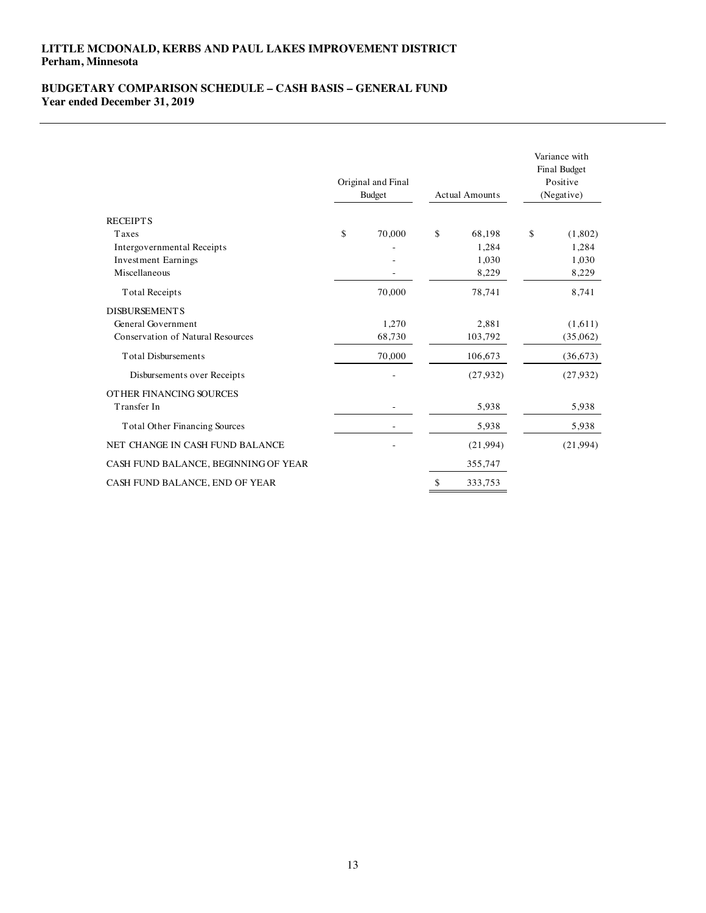### **BUDGETARY COMPARISON SCHEDULE – CASH BASIS – GENERAL FUND Year ended December 31, 2019**

|                                      | Original and Final<br>Budget | <b>Actual Amounts</b> | Variance with<br>Final Budget<br>Positive<br>(Negative) |
|--------------------------------------|------------------------------|-----------------------|---------------------------------------------------------|
| <b>RECEIPTS</b>                      |                              |                       |                                                         |
| Taxes                                | \$<br>70,000                 | \$<br>68,198          | \$<br>(1,802)                                           |
| <b>Intergovernmental Receipts</b>    |                              | 1,284                 | 1,284                                                   |
| <b>Investment Earnings</b>           |                              | 1,030                 | 1,030                                                   |
| Miscellaneous                        |                              | 8,229                 | 8,229                                                   |
| <b>Total Receipts</b>                | 70,000                       | 78,741                | 8,741                                                   |
| <b>DISBURSEMENTS</b>                 |                              |                       |                                                         |
| General Government                   | 1,270                        | 2,881                 | (1,611)                                                 |
| Conservation of Natural Resources    | 68,730                       | 103,792               | (35,062)                                                |
| <b>Total Disbursements</b>           | 70,000                       | 106,673               | (36, 673)                                               |
| Disbursements over Receipts          |                              | (27, 932)             | (27, 932)                                               |
| OTHER FINANCING SOURCES              |                              |                       |                                                         |
| Transfer In                          |                              | 5,938                 | 5,938                                                   |
| <b>Total Other Financing Sources</b> |                              | 5,938                 | 5,938                                                   |
| NET CHANGE IN CASH FUND BALANCE      |                              | (21, 994)             | (21,994)                                                |
| CASH FUND BALANCE, BEGINNING OF YEAR |                              | 355,747               |                                                         |
| CASH FUND BALANCE, END OF YEAR       |                              | \$<br>333,753         |                                                         |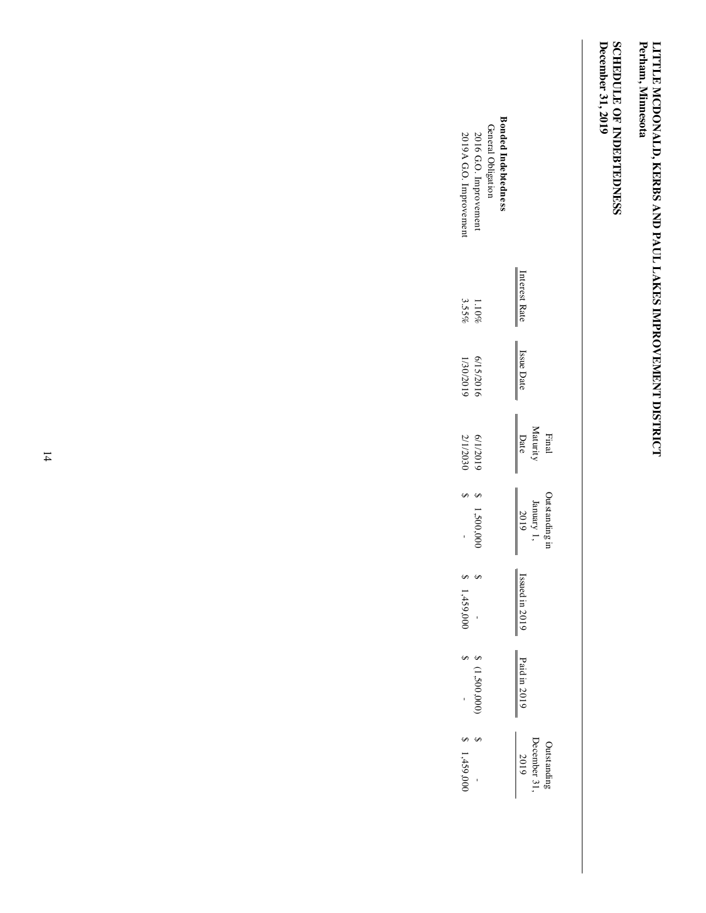# LITTLE MCDONALD, KERBS AND PAUL LAKES IMPROVEMENT DISTRICT<br>Perham, Minnesota **LITTLE MCDONALD, KERBS AND PAUL LAKES IMPROVEMENT DISTRICT , Minnesota**

### **SCHEDULE OF INDEBTEDNESS**<br>December 31, 2019 **December 31, 2019 SCHEDULE OF INDEBTEDNESS**

| Bonded Indebtedness<br>General Obligation<br>2016 G.O. Improvement<br>2019A G.O. Improvement |                                      |
|----------------------------------------------------------------------------------------------|--------------------------------------|
| $1.10\%$<br>3.55%                                                                            | Interest Rate                        |
| 6/15/2016<br>1/30/2019                                                                       | Issue Date                           |
| 6/1/2019<br>2/1/2030                                                                         | Maturity<br>Date<br><b>Final</b>     |
| \$ 1,500,000                                                                                 | Outstanding in<br>January 1,<br>2019 |
| \$1,459,000                                                                                  | Issued in 2019                       |
| $(000'005'1)$ \$                                                                             | Paid in 2019                         |
| \$1,459,00                                                                                   | Outstanding<br>December 31,<br>2019  |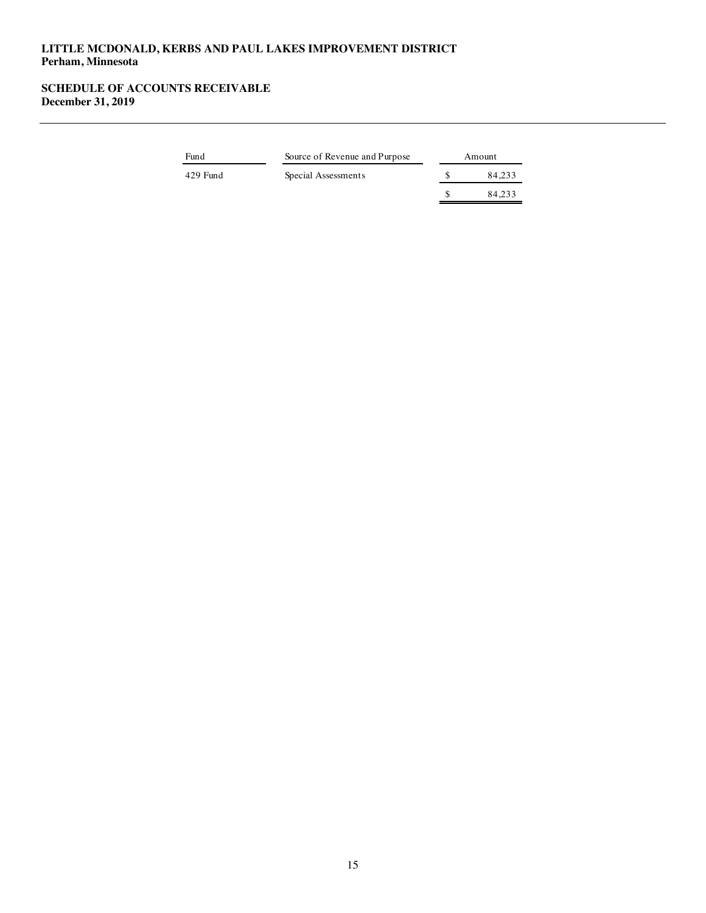### **SCHEDULE OF ACCOUNTS RECEIVABLE December 31, 2019**

| Fund     | Source of Revenue and Purpose | Amount |        |  |
|----------|-------------------------------|--------|--------|--|
| 429 Fund | Special Assessments           |        | 84.233 |  |
|          |                               |        | 84.233 |  |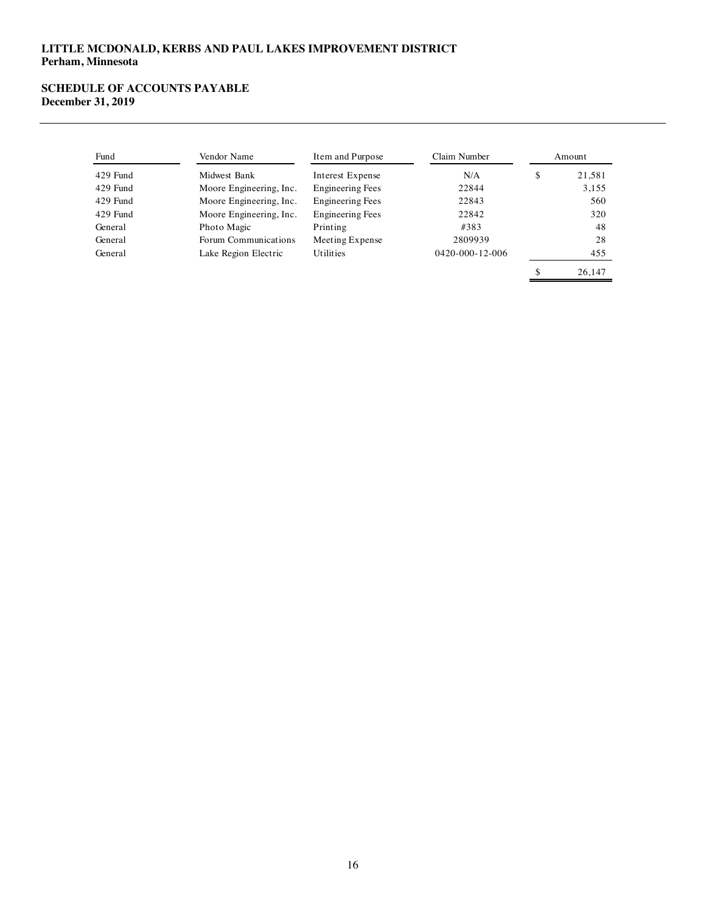### **SCHEDULE OF ACCOUNTS PAYABLE December 31, 2019**

| Fund     | Vendor Name             | Item and Purpose        | Claim Number    | Amount       |
|----------|-------------------------|-------------------------|-----------------|--------------|
| 429 Fund | Midwest Bank            | Interest Expense        | N/A             | \$<br>21,581 |
| 429 Fund | Moore Engineering, Inc. | <b>Engineering Fees</b> | 22844           | 3,155        |
| 429 Fund | Moore Engineering, Inc. | <b>Engineering Fees</b> | 22843           | 560          |
| 429 Fund | Moore Engineering, Inc. | <b>Engineering Fees</b> | 22842           | 320          |
| General  | Photo Magic             | Printing                | #383            | 48           |
| General  | Forum Communications    | Meeting Expense         | 2809939         | 28           |
| General  | Lake Region Electric    | <b>Utilities</b>        | 0420-000-12-006 | 455          |
|          |                         |                         |                 | \$<br>26.147 |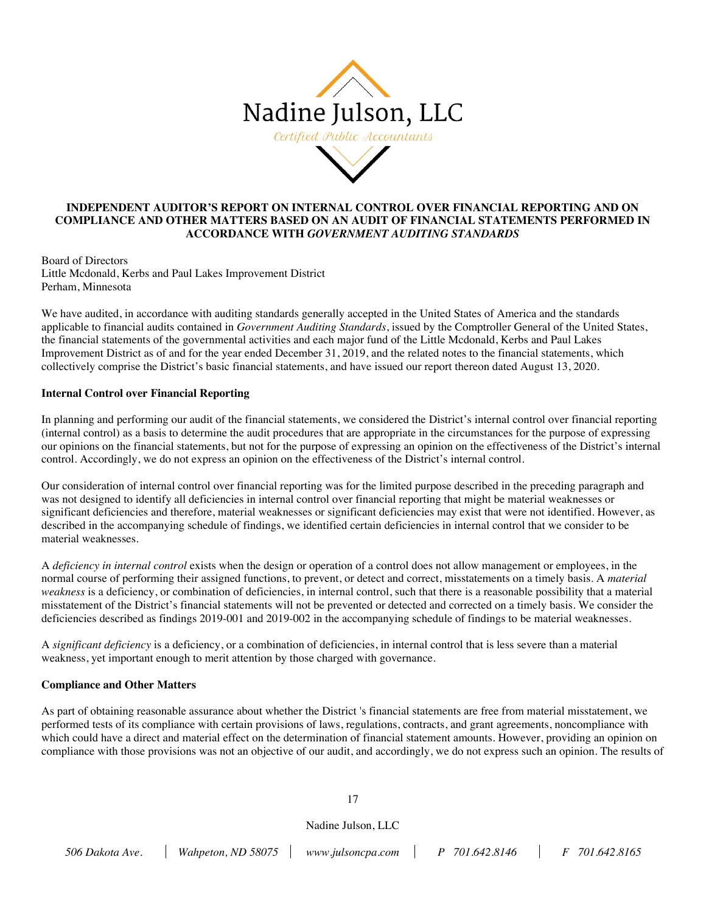

### **INDEPENDENT AUDITOR'S REPORT ON INTERNAL CONTROL OVER FINANCIAL REPORTING AND ON COMPLIANCE AND OTHER MATTERS BASED ON AN AUDIT OF FINANCIAL STATEMENTS PERFORMED IN ACCORDANCE WITH** *GOVERNMENT AUDITING STANDARDS*

Board of Directors Little Mcdonald, Kerbs and Paul Lakes Improvement District Perham, Minnesota

We have audited, in accordance with auditing standards generally accepted in the United States of America and the standards applicable to financial audits contained in *Government Auditing Standards*, issued by the Comptroller General of the United States, the financial statements of the governmental activities and each major fund of the Little Mcdonald, Kerbs and Paul Lakes Improvement District as of and for the year ended December 31, 2019, and the related notes to the financial statements, which collectively comprise the District's basic financial statements, and have issued our report thereon dated August 13, 2020.

### **Internal Control over Financial Reporting**

In planning and performing our audit of the financial statements, we considered the District's internal control over financial reporting (internal control) as a basis to determine the audit procedures that are appropriate in the circumstances for the purpose of expressing our opinions on the financial statements, but not for the purpose of expressing an opinion on the effectiveness of the District's internal control. Accordingly, we do not express an opinion on the effectiveness of the District's internal control.

Our consideration of internal control over financial reporting was for the limited purpose described in the preceding paragraph and was not designed to identify all deficiencies in internal control over financial reporting that might be material weaknesses or significant deficiencies and therefore, material weaknesses or significant deficiencies may exist that were not identified. However, as described in the accompanying schedule of findings, we identified certain deficiencies in internal control that we consider to be material weaknesses.

A *deficiency in internal control* exists when the design or operation of a control does not allow management or employees, in the normal course of performing their assigned functions, to prevent, or detect and correct, misstatements on a timely basis. A *material weakness* is a deficiency, or combination of deficiencies, in internal control, such that there is a reasonable possibility that a material misstatement of the District's financial statements will not be prevented or detected and corrected on a timely basis. We consider the deficiencies described as findings 2019-001 and 2019-002 in the accompanying schedule of findings to be material weaknesses.

A *significant deficiency* is a deficiency, or a combination of deficiencies, in internal control that is less severe than a material weakness, yet important enough to merit attention by those charged with governance.

### **Compliance and Other Matters**

As part of obtaining reasonable assurance about whether the District 's financial statements are free from material misstatement, we performed tests of its compliance with certain provisions of laws, regulations, contracts, and grant agreements, noncompliance with which could have a direct and material effect on the determination of financial statement amounts. However, providing an opinion on compliance with those provisions was not an objective of our audit, and accordingly, we do not express such an opinion. The results of

Nadine Julson, LLC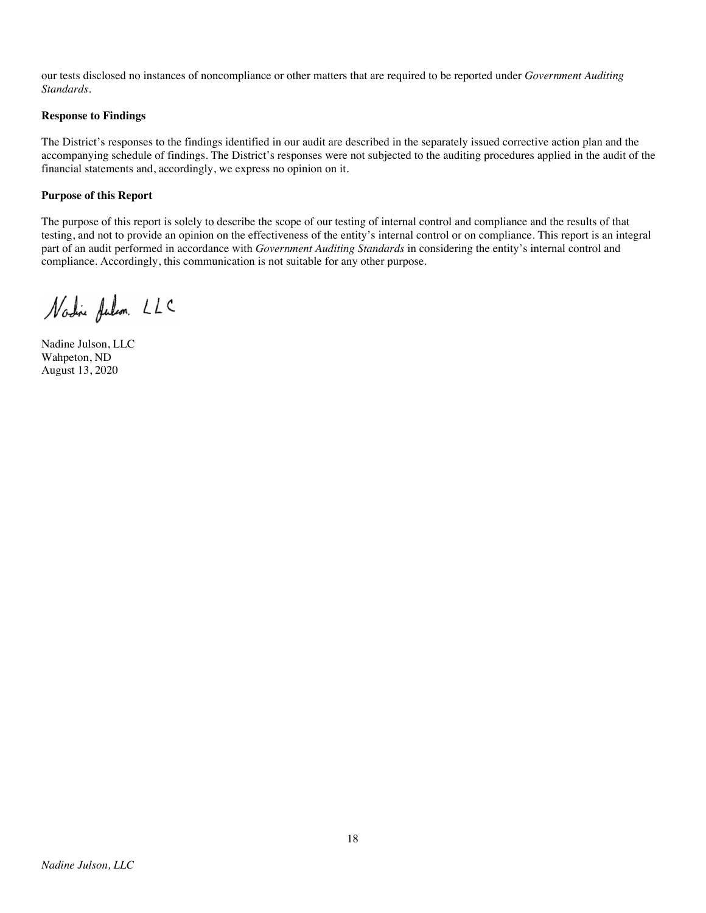our tests disclosed no instances of noncompliance or other matters that are required to be reported under *Government Auditing Standards*.

### **Response to Findings**

The District's responses to the findings identified in our audit are described in the separately issued corrective action plan and the accompanying schedule of findings. The District's responses were not subjected to the auditing procedures applied in the audit of the financial statements and, accordingly, we express no opinion on it.

### **Purpose of this Report**

The purpose of this report is solely to describe the scope of our testing of internal control and compliance and the results of that testing, and not to provide an opinion on the effectiveness of the entity's internal control or on compliance. This report is an integral part of an audit performed in accordance with *Government Auditing Standards* in considering the entity's internal control and compliance. Accordingly, this communication is not suitable for any other purpose.

Nadin Julian. LLC

Nadine Julson, LLC Wahpeton, ND August 13, 2020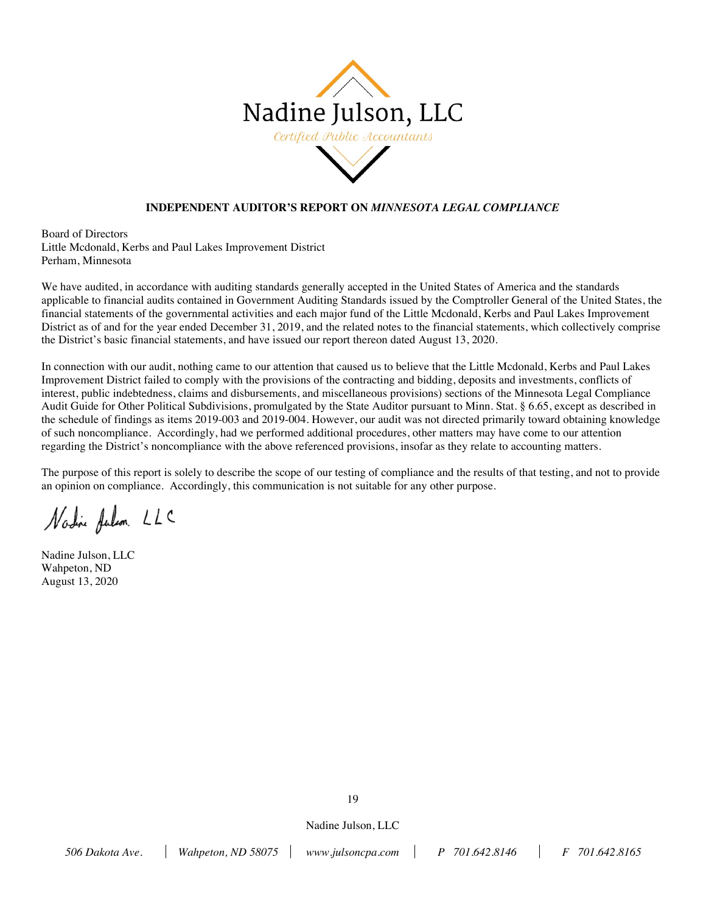

### **INDEPENDENT AUDITOR'S REPORT ON** *MINNESOTA LEGAL COMPLIANCE*

Board of Directors Little Mcdonald, Kerbs and Paul Lakes Improvement District Perham, Minnesota

We have audited, in accordance with auditing standards generally accepted in the United States of America and the standards applicable to financial audits contained in Government Auditing Standards issued by the Comptroller General of the United States, the financial statements of the governmental activities and each major fund of the Little Mcdonald, Kerbs and Paul Lakes Improvement District as of and for the year ended December 31, 2019, and the related notes to the financial statements, which collectively comprise the District's basic financial statements, and have issued our report thereon dated August 13, 2020.

In connection with our audit, nothing came to our attention that caused us to believe that the Little Mcdonald, Kerbs and Paul Lakes Improvement District failed to comply with the provisions of the contracting and bidding, deposits and investments, conflicts of interest, public indebtedness, claims and disbursements, and miscellaneous provisions) sections of the Minnesota Legal Compliance Audit Guide for Other Political Subdivisions, promulgated by the State Auditor pursuant to Minn. Stat. § 6.65, except as described in the schedule of findings as items 2019-003 and 2019-004. However, our audit was not directed primarily toward obtaining knowledge of such noncompliance. Accordingly, had we performed additional procedures, other matters may have come to our attention regarding the District's noncompliance with the above referenced provisions, insofar as they relate to accounting matters.

The purpose of this report is solely to describe the scope of our testing of compliance and the results of that testing, and not to provide an opinion on compliance. Accordingly, this communication is not suitable for any other purpose.

Nadia Aulin, LLC

Nadine Julson, LLC Wahpeton, ND August 13, 2020

Nadine Julson, LLC

*506 Dakota Ave. Wahpeton, ND 58075 www.julsoncpa.com P 701.642.8146 F 701.642.8165*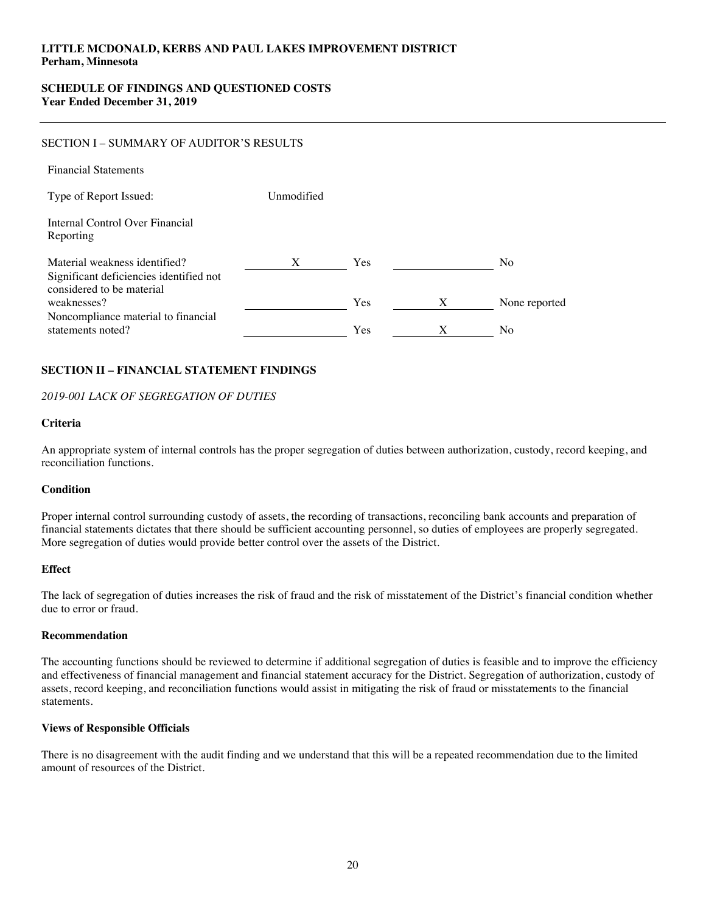### **SCHEDULE OF FINDINGS AND QUESTIONED COSTS Year Ended December 31, 2019**

SECTION I – SUMMARY OF AUDITOR'S RESULTS

| bomman of hobiton bubbonid                                                                            |            |            |   |               |
|-------------------------------------------------------------------------------------------------------|------------|------------|---|---------------|
| <b>Financial Statements</b>                                                                           |            |            |   |               |
| Type of Report Issued:                                                                                | Unmodified |            |   |               |
| Internal Control Over Financial<br>Reporting                                                          |            |            |   |               |
| Material weakness identified?<br>Significant deficiencies identified not<br>considered to be material | X          | <b>Yes</b> |   | No            |
| weaknesses?                                                                                           |            | Yes        | X | None reported |
| Noncompliance material to financial<br>statements noted?                                              |            | Yes        | X | No            |

### **SECTION II – FINANCIAL STATEMENT FINDINGS**

### *2019-001 LACK OF SEGREGATION OF DUTIES*

### **Criteria**

An appropriate system of internal controls has the proper segregation of duties between authorization, custody, record keeping, and reconciliation functions.

### **Condition**

Proper internal control surrounding custody of assets, the recording of transactions, reconciling bank accounts and preparation of financial statements dictates that there should be sufficient accounting personnel, so duties of employees are properly segregated. More segregation of duties would provide better control over the assets of the District.

### **Effect**

The lack of segregation of duties increases the risk of fraud and the risk of misstatement of the District's financial condition whether due to error or fraud.

### **Recommendation**

The accounting functions should be reviewed to determine if additional segregation of duties is feasible and to improve the efficiency and effectiveness of financial management and financial statement accuracy for the District. Segregation of authorization, custody of assets, record keeping, and reconciliation functions would assist in mitigating the risk of fraud or misstatements to the financial statements.

### **Views of Responsible Officials**

There is no disagreement with the audit finding and we understand that this will be a repeated recommendation due to the limited amount of resources of the District.